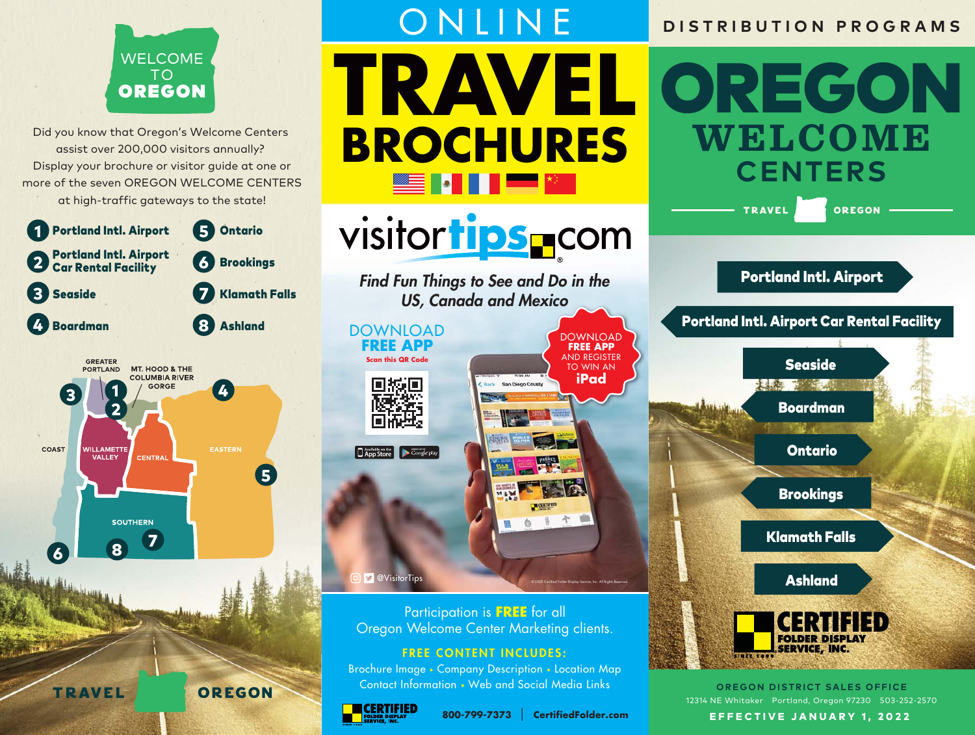

Did you know that Oregon's Welcome Centers assist over 200,000 visitors annually? Display your brochure or visitor guide at one or more of the seven OREGON WELCOME CENTERS at high-traffic gateways to the state!





# ONLINE **TRAVEL BROCHURES** ▓<mark>▓</mark>▓▓▓▓▓<mark>▓▓▓</mark>▓▓▓▓▓▓▓▓

# visitor tips \_com

Find Fun Things to See and Do in the US, Canada and Mexico

DOWNLOAD **FREE APP**

**Scan this QR Code**



### **D** @VisitorTips

Participation is **FREE** for all Oregon Welcome Center Marketing clients.

#### FREE CONTENT INCLUDES:

Brochure Image • Company Description • Location Map Contact Information • Web and Social Media Links





© 2020 Certified Folder Display Service, Inc. All Rights Reserved.

DOWNLOAD **FREE APP** AND REGISTER TO WIN AN **iPad**

### **DISTRIBUTION PROGRAMS**

OREGON **WELCOME CENTERS OREGON TRAVEL** Portland Intl. Airport Portland Intl. Airport Car Rental Facility **Seaside** LANS TO LEAD Boardman Ontario Brookings Klamath Falls Ashland **FOLDER DISPLA SERVICE, INC.** 

> **OREGON DISTRICT SALES OFFICE** 12314 NE Whitaker • Portland, Oregon 97230 • 503-252-2570

EFFECTIVE JANUARY 1, 2022